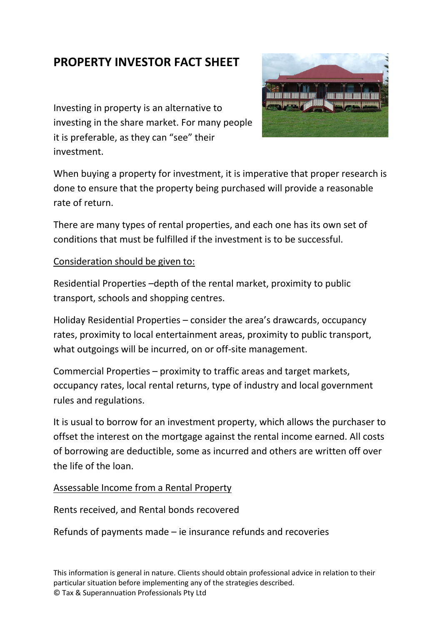## **PROPERTY INVESTOR FACT SHEET**

Investing in property is an alternative to investing in the share market. For many people it is preferable, as they can "see" their investment.



When buying a property for investment, it is imperative that proper research is done to ensure that the property being purchased will provide a reasonable rate of return.

There are many types of rental properties, and each one has its own set of conditions that must be fulfilled if the investment is to be successful.

## Consideration should be given to:

Residential Properties –depth of the rental market, proximity to public transport, schools and shopping centres.

Holiday Residential Properties – consider the area's drawcards, occupancy rates, proximity to local entertainment areas, proximity to public transport, what outgoings will be incurred, on or off-site management.

Commercial Properties – proximity to traffic areas and target markets, occupancy rates, local rental returns, type of industry and local government rules and regulations.

It is usual to borrow for an investment property, which allows the purchaser to offset the interest on the mortgage against the rental income earned. All costs of borrowing are deductible, some as incurred and others are written off over the life of the loan.

## Assessable Income from a Rental Property

Rents received, and Rental bonds recovered

Refunds of payments made – ie insurance refunds and recoveries